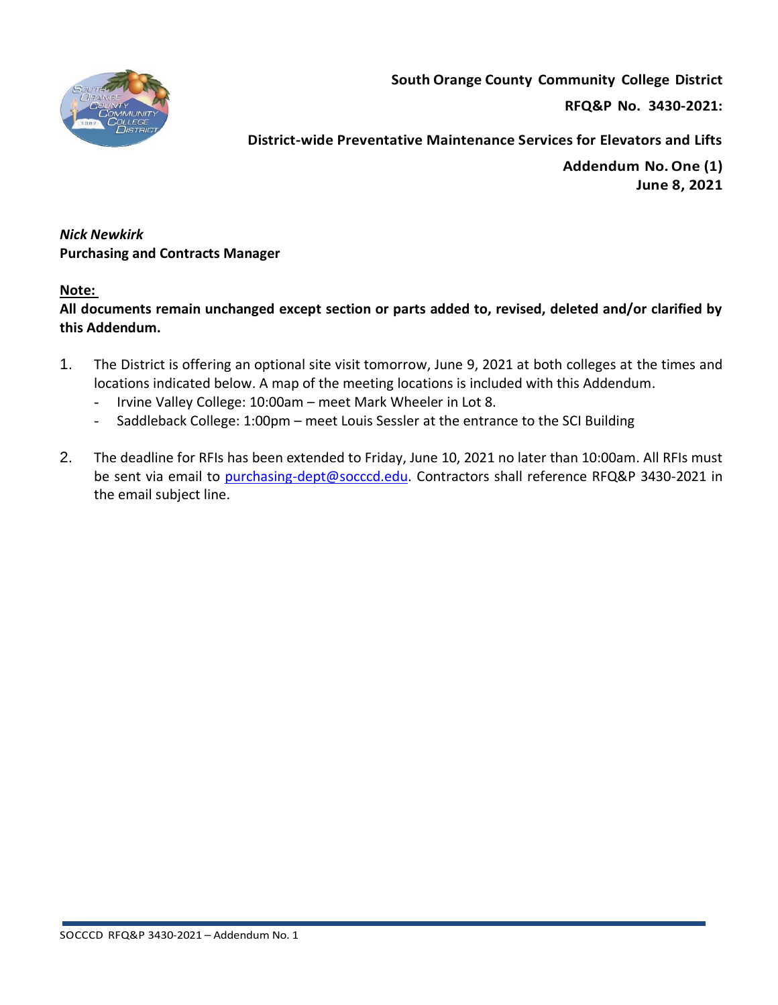

**RFQ&P No. 3430-2021:** 

**District-wide Preventative Maintenance Services for Elevators and Lifts**

**Addendum No.One (1) June 8, 2021**

*Nick Newkirk*  **Purchasing and Contracts Manager** 

## **Note:**

**All documents remain unchanged except section or parts added to, revised, deleted and/or clarified by this Addendum.**

- 1. The District is offering an optional site visit tomorrow, June 9, 2021 at both colleges at the times and locations indicated below. A map of the meeting locations is included with this Addendum.
	- Irvine Valley College: 10:00am meet Mark Wheeler in Lot 8.
	- Saddleback College: 1:00pm meet Louis Sessler at the entrance to the SCI Building
- 2. The deadline for RFIs has been extended to Friday, June 10, 2021 no later than 10:00am. All RFIs must be sent via email to [purchasing-dept@socccd.edu.](mailto:purchasing-dept@socccd.edu) Contractors shall reference RFQ&P 3430-2021 in the email subject line.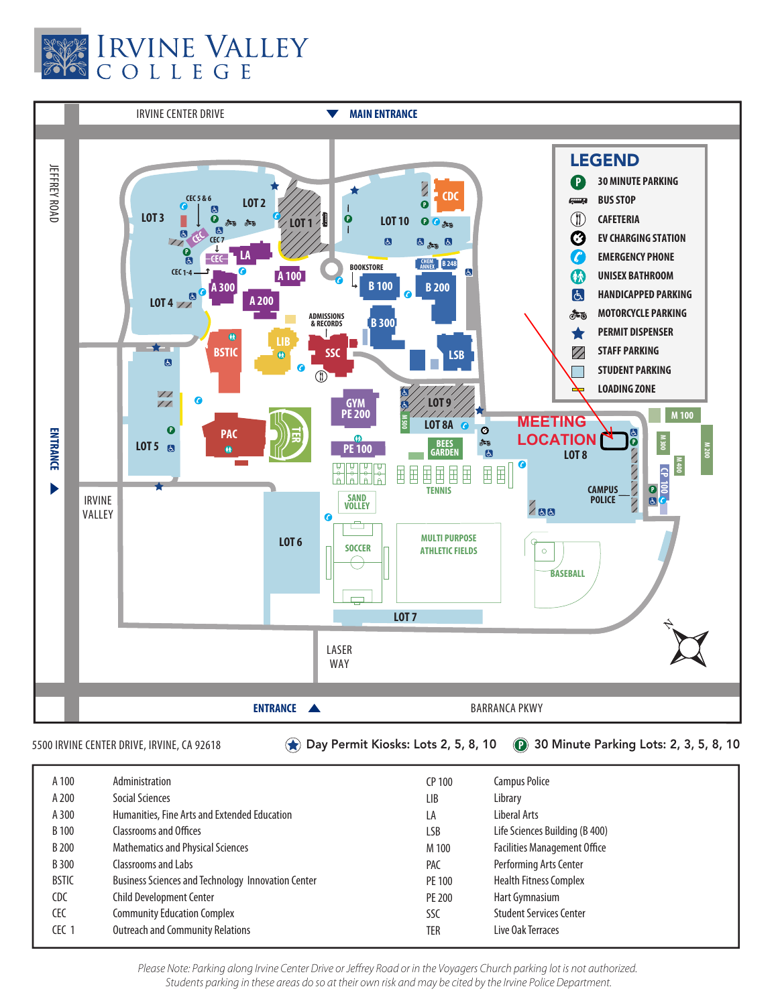



5500 IRVINE CENTER DRIVE, IRVINE, CA 92618 Day Permit Kiosks: Lots 2, 5, 8, 10 **P** 30 Minute Parking Lots: 2, 3, 5, 8, 10

| A 100        | Administration                                            | CP 100     | Campus Police                       |
|--------------|-----------------------------------------------------------|------------|-------------------------------------|
| A 200        | Social Sciences                                           | <b>LIB</b> | Library                             |
| A 300        | Humanities, Fine Arts and Extended Education              | LA         | Liberal Arts                        |
| B 100        | <b>Classrooms and Offices</b>                             | <b>LSB</b> | Life Sciences Building (B 400)      |
| B 200        | <b>Mathematics and Physical Sciences</b>                  | M 100      | <b>Facilities Management Office</b> |
| B 300        | Classrooms and Labs                                       | <b>PAC</b> | Performing Arts Center              |
| <b>BSTIC</b> | <b>Business Sciences and Technology Innovation Center</b> | PE 100     | <b>Health Fitness Complex</b>       |
| <b>CDC</b>   | <b>Child Development Center</b>                           | PE 200     | Hart Gymnasium                      |
| CEC          | <b>Community Education Complex</b>                        | SSC        | <b>Student Services Center</b>      |
| CEC 1        | <b>Outreach and Community Relations</b>                   | TER        | Live Oak Terraces                   |

*Please Note: Parking along Irvine Center Drive or Jeffrey Road or in the Voyagers Church parking lot is not authorized. Students parking in these areas do so at their own risk and may be cited by the Irvine Police Department.*